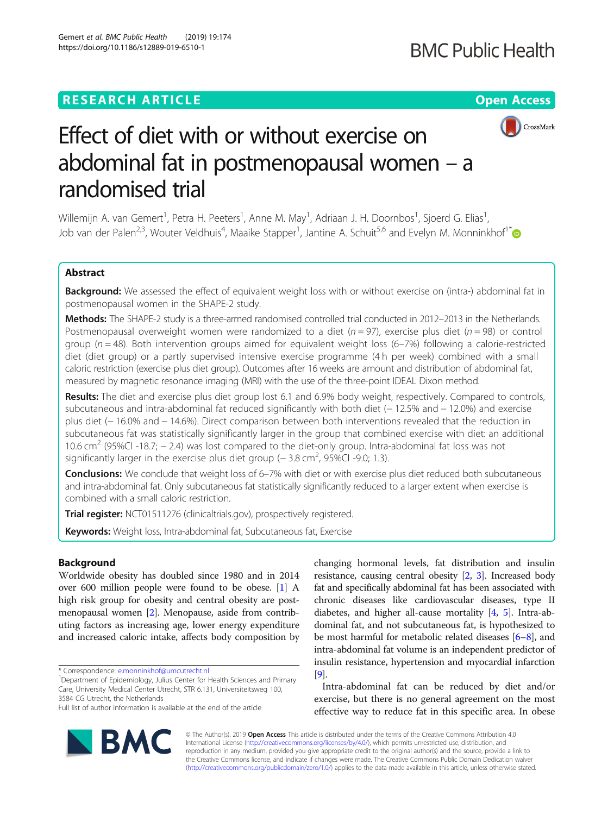## **RESEARCH ARTICLE Example 2014 12:30 The Contract of Contract ACCESS**



# Effect of diet with or without exercise on abdominal fat in postmenopausal women – a randomised trial

Willemijn A. van Gemert<sup>1</sup>, Petra H. Peeters<sup>1</sup>, Anne M. May<sup>1</sup>, Adriaan J. H. Doornbos<sup>1</sup>, Sjoerd G. Elias<sup>1</sup> , Job van der Palen<sup>2,3</sup>, Wouter Veldhuis<sup>4</sup>, Maaike Stapper<sup>1</sup>, Jantine A. Schuit<sup>5,6</sup> and Evelyn M. Monninkhof<sup>1\*</sup>

### Abstract

Background: We assessed the effect of equivalent weight loss with or without exercise on (intra-) abdominal fat in postmenopausal women in the SHAPE-2 study.

Methods: The SHAPE-2 study is a three-armed randomised controlled trial conducted in 2012–2013 in the Netherlands. Postmenopausal overweight women were randomized to a diet ( $n = 97$ ), exercise plus diet ( $n = 98$ ) or control group ( $n = 48$ ). Both intervention groups aimed for equivalent weight loss (6–7%) following a calorie-restricted diet (diet group) or a partly supervised intensive exercise programme (4 h per week) combined with a small caloric restriction (exercise plus diet group). Outcomes after 16 weeks are amount and distribution of abdominal fat, measured by magnetic resonance imaging (MRI) with the use of the three-point IDEAL Dixon method.

Results: The diet and exercise plus diet group lost 6.1 and 6.9% body weight, respectively. Compared to controls, subcutaneous and intra-abdominal fat reduced significantly with both diet (− 12.5% and − 12.0%) and exercise plus diet (− 16.0% and − 14.6%). Direct comparison between both interventions revealed that the reduction in subcutaneous fat was statistically significantly larger in the group that combined exercise with diet: an additional 10.6 cm<sup>2</sup> (95%CI -18.7; − 2.4) was lost compared to the diet-only group. Intra-abdominal fat loss was not significantly larger in the exercise plus diet group (– 3.8 cm<sup>2</sup>, 95%CI -9.0; 1.3).

Conclusions: We conclude that weight loss of 6–7% with diet or with exercise plus diet reduced both subcutaneous and intra-abdominal fat. Only subcutaneous fat statistically significantly reduced to a larger extent when exercise is combined with a small caloric restriction.

Trial register: NCT01511276 (clinicaltrials.gov), prospectively registered.

Keywords: Weight loss, Intra-abdominal fat, Subcutaneous fat, Exercise

#### Background

Worldwide obesity has doubled since 1980 and in 2014 over 600 million people were found to be obese. [\[1\]](#page-7-0) A high risk group for obesity and central obesity are postmenopausal women [[2\]](#page-7-0). Menopause, aside from contributing factors as increasing age, lower energy expenditure and increased caloric intake, affects body composition by

\* Correspondence: [e.monninkhof@umcutrecht.nl](mailto:e.monninkhof@umcutrecht.nl) <sup>1</sup>

Full list of author information is available at the end of the article



changing hormonal levels, fat distribution and insulin resistance, causing central obesity [\[2,](#page-7-0) [3](#page-7-0)]. Increased body fat and specifically abdominal fat has been associated with chronic diseases like cardiovascular diseases, type II diabetes, and higher all-cause mortality [[4](#page-7-0), [5\]](#page-7-0). Intra-abdominal fat, and not subcutaneous fat, is hypothesized to be most harmful for metabolic related diseases [\[6](#page-7-0)–[8](#page-7-0)], and intra-abdominal fat volume is an independent predictor of insulin resistance, hypertension and myocardial infarction [[9\]](#page-7-0).

Intra-abdominal fat can be reduced by diet and/or exercise, but there is no general agreement on the most effective way to reduce fat in this specific area. In obese

© The Author(s). 2019 **Open Access** This article is distributed under the terms of the Creative Commons Attribution 4.0 International License [\(http://creativecommons.org/licenses/by/4.0/](http://creativecommons.org/licenses/by/4.0/)), which permits unrestricted use, distribution, and reproduction in any medium, provided you give appropriate credit to the original author(s) and the source, provide a link to the Creative Commons license, and indicate if changes were made. The Creative Commons Public Domain Dedication waiver [\(http://creativecommons.org/publicdomain/zero/1.0/](http://creativecommons.org/publicdomain/zero/1.0/)) applies to the data made available in this article, unless otherwise stated.

<sup>&</sup>lt;sup>1</sup>Department of Epidemiology, Julius Center for Health Sciences and Primary Care, University Medical Center Utrecht, STR 6.131, Universiteitsweg 100, 3584 CG Utrecht, the Netherlands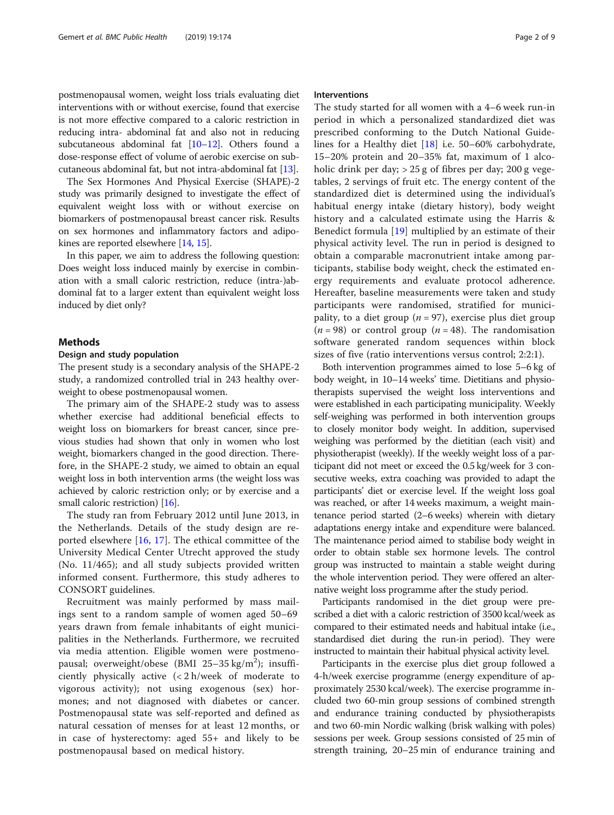postmenopausal women, weight loss trials evaluating diet interventions with or without exercise, found that exercise is not more effective compared to a caloric restriction in reducing intra- abdominal fat and also not in reducing subcutaneous abdominal fat [[10](#page-7-0)–[12\]](#page-7-0). Others found a dose-response effect of volume of aerobic exercise on subcutaneous abdominal fat, but not intra-abdominal fat [[13](#page-7-0)].

The Sex Hormones And Physical Exercise (SHAPE)-2 study was primarily designed to investigate the effect of equivalent weight loss with or without exercise on biomarkers of postmenopausal breast cancer risk. Results on sex hormones and inflammatory factors and adipokines are reported elsewhere [\[14,](#page-7-0) [15](#page-7-0)].

In this paper, we aim to address the following question: Does weight loss induced mainly by exercise in combination with a small caloric restriction, reduce (intra-)abdominal fat to a larger extent than equivalent weight loss induced by diet only?

#### Methods

#### Design and study population

The present study is a secondary analysis of the SHAPE-2 study, a randomized controlled trial in 243 healthy overweight to obese postmenopausal women.

The primary aim of the SHAPE-2 study was to assess whether exercise had additional beneficial effects to weight loss on biomarkers for breast cancer, since previous studies had shown that only in women who lost weight, biomarkers changed in the good direction. Therefore, in the SHAPE-2 study, we aimed to obtain an equal weight loss in both intervention arms (the weight loss was achieved by caloric restriction only; or by exercise and a small caloric restriction) [\[16\]](#page-7-0).

The study ran from February 2012 until June 2013, in the Netherlands. Details of the study design are reported elsewhere [\[16](#page-7-0), [17\]](#page-7-0). The ethical committee of the University Medical Center Utrecht approved the study (No. 11/465); and all study subjects provided written informed consent. Furthermore, this study adheres to CONSORT guidelines.

Recruitment was mainly performed by mass mailings sent to a random sample of women aged 50–69 years drawn from female inhabitants of eight municipalities in the Netherlands. Furthermore, we recruited via media attention. Eligible women were postmenopausal; overweight/obese (BMI 25–35 kg/m<sup>2</sup>); insufficiently physically active (< 2 h/week of moderate to vigorous activity); not using exogenous (sex) hormones; and not diagnosed with diabetes or cancer. Postmenopausal state was self-reported and defined as natural cessation of menses for at least 12 months, or in case of hysterectomy: aged 55+ and likely to be postmenopausal based on medical history.

#### Interventions

The study started for all women with a 4–6 week run-in period in which a personalized standardized diet was prescribed conforming to the Dutch National Guidelines for a Healthy diet [[18](#page-7-0)] i.e. 50–60% carbohydrate, 15–20% protein and 20–35% fat, maximum of 1 alcoholic drink per day; > 25 g of fibres per day; 200 g vegetables, 2 servings of fruit etc. The energy content of the standardized diet is determined using the individual's habitual energy intake (dietary history), body weight history and a calculated estimate using the Harris & Benedict formula [[19\]](#page-7-0) multiplied by an estimate of their physical activity level. The run in period is designed to obtain a comparable macronutrient intake among participants, stabilise body weight, check the estimated energy requirements and evaluate protocol adherence. Hereafter, baseline measurements were taken and study participants were randomised, stratified for municipality, to a diet group ( $n = 97$ ), exercise plus diet group  $(n = 98)$  or control group  $(n = 48)$ . The randomisation software generated random sequences within block sizes of five (ratio interventions versus control; 2:2:1).

Both intervention programmes aimed to lose 5–6 kg of body weight, in 10–14 weeks' time. Dietitians and physiotherapists supervised the weight loss interventions and were established in each participating municipality. Weekly self-weighing was performed in both intervention groups to closely monitor body weight. In addition, supervised weighing was performed by the dietitian (each visit) and physiotherapist (weekly). If the weekly weight loss of a participant did not meet or exceed the 0.5 kg/week for 3 consecutive weeks, extra coaching was provided to adapt the participants' diet or exercise level. If the weight loss goal was reached, or after 14 weeks maximum, a weight maintenance period started (2–6 weeks) wherein with dietary adaptations energy intake and expenditure were balanced. The maintenance period aimed to stabilise body weight in order to obtain stable sex hormone levels. The control group was instructed to maintain a stable weight during the whole intervention period. They were offered an alternative weight loss programme after the study period.

Participants randomised in the diet group were prescribed a diet with a caloric restriction of 3500 kcal/week as compared to their estimated needs and habitual intake (i.e., standardised diet during the run-in period). They were instructed to maintain their habitual physical activity level.

Participants in the exercise plus diet group followed a 4-h/week exercise programme (energy expenditure of approximately 2530 kcal/week). The exercise programme included two 60-min group sessions of combined strength and endurance training conducted by physiotherapists and two 60-min Nordic walking (brisk walking with poles) sessions per week. Group sessions consisted of 25 min of strength training, 20–25 min of endurance training and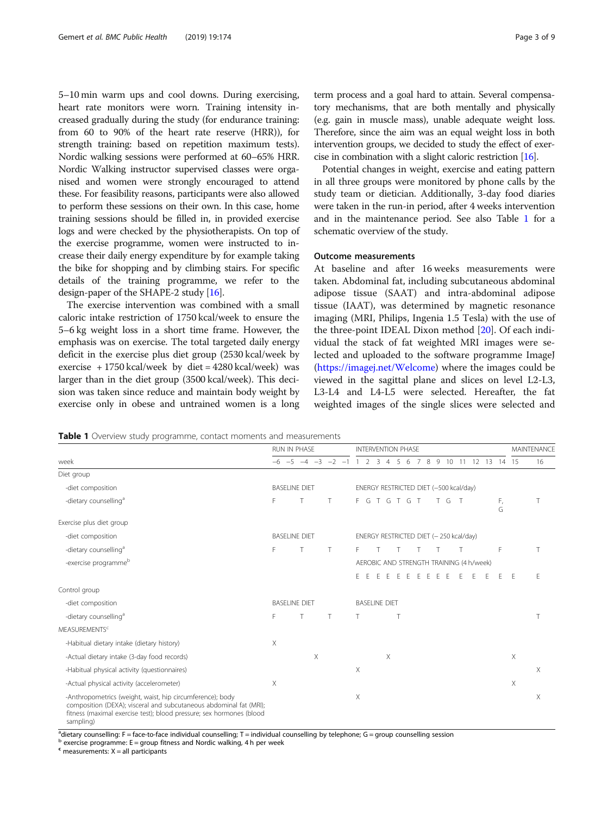5–10 min warm ups and cool downs. During exercising, heart rate monitors were worn. Training intensity increased gradually during the study (for endurance training: from 60 to 90% of the heart rate reserve (HRR)), for strength training: based on repetition maximum tests). Nordic walking sessions were performed at 60–65% HRR. Nordic Walking instructor supervised classes were organised and women were strongly encouraged to attend these. For feasibility reasons, participants were also allowed to perform these sessions on their own. In this case, home training sessions should be filled in, in provided exercise logs and were checked by the physiotherapists. On top of the exercise programme, women were instructed to increase their daily energy expenditure by for example taking the bike for shopping and by climbing stairs. For specific details of the training programme, we refer to the design-paper of the SHAPE-2 study [\[16\]](#page-7-0).

The exercise intervention was combined with a small caloric intake restriction of 1750 kcal/week to ensure the 5–6 kg weight loss in a short time frame. However, the emphasis was on exercise. The total targeted daily energy deficit in the exercise plus diet group (2530 kcal/week by exercise  $+ 1750$  kcal/week by diet = 4280 kcal/week) was larger than in the diet group (3500 kcal/week). This decision was taken since reduce and maintain body weight by exercise only in obese and untrained women is a long term process and a goal hard to attain. Several compensatory mechanisms, that are both mentally and physically (e.g. gain in muscle mass), unable adequate weight loss. Therefore, since the aim was an equal weight loss in both intervention groups, we decided to study the effect of exercise in combination with a slight caloric restriction [\[16\]](#page-7-0).

Potential changes in weight, exercise and eating pattern in all three groups were monitored by phone calls by the study team or dietician. Additionally, 3-day food diaries were taken in the run-in period, after 4 weeks intervention and in the maintenance period. See also Table 1 for a schematic overview of the study.

#### Outcome measurements

At baseline and after 16 weeks measurements were taken. Abdominal fat, including subcutaneous abdominal adipose tissue (SAAT) and intra-abdominal adipose tissue (IAAT), was determined by magnetic resonance imaging (MRI, Philips, Ingenia 1.5 Tesla) with the use of the three-point IDEAL Dixon method [\[20](#page-7-0)]. Of each individual the stack of fat weighted MRI images were selected and uploaded to the software programme ImageJ (<https://imagej.net/Welcome>) where the images could be viewed in the sagittal plane and slices on level L2-L3, L3-L4 and L4-L5 were selected. Hereafter, the fat weighted images of the single slices were selected and

Table 1 Overview study programme, contact moments and measurements

|                                                                                                                                                                                                                      | <b>RUN IN PHASE</b>  |   |   |                               |                      | <b>INTERVENTION PHASE</b> |                                          |    |        |     |                 |   |    |       |                                         | <b>MAINTENANCE</b> |         |          |    |
|----------------------------------------------------------------------------------------------------------------------------------------------------------------------------------------------------------------------|----------------------|---|---|-------------------------------|----------------------|---------------------------|------------------------------------------|----|--------|-----|-----------------|---|----|-------|-----------------------------------------|--------------------|---------|----------|----|
| week                                                                                                                                                                                                                 |                      |   |   | $-6$ $-5$ $-4$ $-3$ $-2$ $-1$ |                      | $1 \t2 \t3 \t4$           |                                          |    | -5     | - 6 | $7\overline{ }$ |   | 89 |       |                                         | 10 11 12 13 14 15  |         |          | 16 |
| Diet group                                                                                                                                                                                                           |                      |   |   |                               |                      |                           |                                          |    |        |     |                 |   |    |       |                                         |                    |         |          |    |
| -diet composition                                                                                                                                                                                                    | <b>BASELINE DIET</b> |   |   |                               |                      |                           |                                          |    |        |     |                 |   |    |       | ENERGY RESTRICTED DIET (-500 kcal/day)  |                    |         |          |    |
| -dietary counselling <sup>a</sup>                                                                                                                                                                                    | F                    |   |   | Τ                             |                      | F G T G T G T             |                                          |    |        |     |                 |   |    | T G T |                                         |                    | F,<br>G |          | т  |
| Exercise plus diet group                                                                                                                                                                                             |                      |   |   |                               |                      |                           |                                          |    |        |     |                 |   |    |       |                                         |                    |         |          |    |
| -diet composition                                                                                                                                                                                                    | <b>BASELINE DIET</b> |   |   |                               |                      |                           |                                          |    |        |     |                 |   |    |       | ENERGY RESTRICTED DIET (- 250 kcal/day) |                    |         |          |    |
| -dietary counselling <sup>a</sup>                                                                                                                                                                                    | F                    | Т |   | Τ                             |                      | F.                        |                                          |    | $\top$ |     | $\top$          |   |    |       | Τ                                       |                    | F       |          |    |
| -exercise programme <sup>b</sup>                                                                                                                                                                                     |                      |   |   |                               |                      |                           | AEROBIC AND STRENGTH TRAINING (4 h/week) |    |        |     |                 |   |    |       |                                         |                    |         |          |    |
|                                                                                                                                                                                                                      |                      |   |   |                               |                      | F.                        | F.                                       | -F | -F     | F   | F               | F | F  | F     |                                         |                    | F       | E        | E  |
| Control group                                                                                                                                                                                                        |                      |   |   |                               |                      |                           |                                          |    |        |     |                 |   |    |       |                                         |                    |         |          |    |
| -diet composition                                                                                                                                                                                                    | <b>BASELINE DIET</b> |   |   |                               | <b>BASELINE DIET</b> |                           |                                          |    |        |     |                 |   |    |       |                                         |                    |         |          |    |
| -dietary counselling <sup>a</sup>                                                                                                                                                                                    | F                    | Т |   | Τ                             |                      | Τ                         |                                          |    | Τ      |     |                 |   |    |       |                                         |                    |         |          | т  |
| <b>MEASUREMENTS<sup>c</sup></b>                                                                                                                                                                                      |                      |   |   |                               |                      |                           |                                          |    |        |     |                 |   |    |       |                                         |                    |         |          |    |
| -Habitual dietary intake (dietary history)                                                                                                                                                                           | X                    |   |   |                               |                      |                           |                                          |    |        |     |                 |   |    |       |                                         |                    |         |          |    |
| -Actual dietary intake (3-day food records)                                                                                                                                                                          |                      |   | X |                               |                      |                           |                                          | Χ  |        |     |                 |   |    |       |                                         |                    |         | $\times$ |    |
| -Habitual physical activity (questionnaires)                                                                                                                                                                         |                      |   |   |                               |                      | X                         |                                          |    |        |     |                 |   |    |       |                                         |                    |         |          | X  |
| -Actual physical activity (accelerometer)                                                                                                                                                                            | Χ                    |   |   |                               |                      |                           |                                          |    |        |     |                 |   |    |       |                                         |                    |         | Χ        |    |
| -Anthropometrics (weight, waist, hip circumference); body<br>composition (DEXA); visceral and subcutaneous abdominal fat (MRI);<br>fitness (maximal exercise test); blood pressure; sex hormones (blood<br>sampling) |                      |   |   |                               |                      | X                         |                                          |    |        |     |                 |   |    |       |                                         |                    |         |          | X  |

a<br>dietary counselling: F = face-to-face individual counselling; T = individual counselling by telephone; G = group counselling session

 $b$  exercise programme: E = group fitness and Nordic walking, 4 h per week c measurements: X = all participants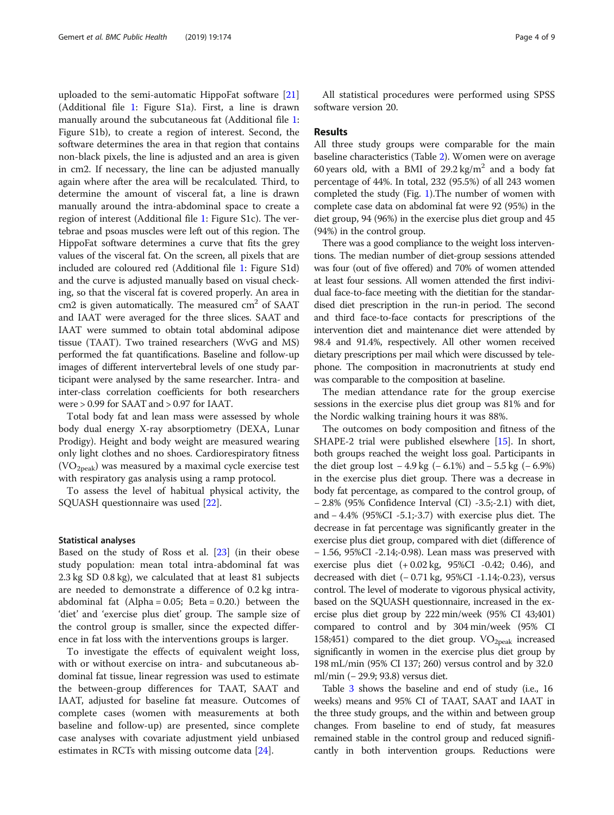uploaded to the semi-automatic HippoFat software [[21](#page-7-0)] (Additional file [1:](#page-6-0) Figure S1a). First, a line is drawn manually around the subcutaneous fat (Additional file [1](#page-6-0): Figure S1b), to create a region of interest. Second, the software determines the area in that region that contains non-black pixels, the line is adjusted and an area is given in cm2. If necessary, the line can be adjusted manually again where after the area will be recalculated. Third, to determine the amount of visceral fat, a line is drawn manually around the intra-abdominal space to create a region of interest (Additional file [1:](#page-6-0) Figure S1c). The vertebrae and psoas muscles were left out of this region. The HippoFat software determines a curve that fits the grey values of the visceral fat. On the screen, all pixels that are included are coloured red (Additional file [1](#page-6-0): Figure S1d) and the curve is adjusted manually based on visual checking, so that the visceral fat is covered properly. An area in cm2 is given automatically. The measured  $\text{cm}^2$  of SAAT and IAAT were averaged for the three slices. SAAT and IAAT were summed to obtain total abdominal adipose tissue (TAAT). Two trained researchers (WvG and MS) performed the fat quantifications. Baseline and follow-up images of different intervertebral levels of one study participant were analysed by the same researcher. Intra- and inter-class correlation coefficients for both researchers were > 0.99 for SAAT and > 0.97 for IAAT.

Total body fat and lean mass were assessed by whole body dual energy X-ray absorptiometry (DEXA, Lunar Prodigy). Height and body weight are measured wearing only light clothes and no shoes. Cardiorespiratory fitness  $(VO<sub>2peak</sub>)$  was measured by a maximal cycle exercise test with respiratory gas analysis using a ramp protocol.

To assess the level of habitual physical activity, the SQUASH questionnaire was used [\[22\]](#page-8-0).

#### Statistical analyses

Based on the study of Ross et al. [\[23](#page-8-0)] (in their obese study population: mean total intra-abdominal fat was 2.3 kg SD 0.8 kg), we calculated that at least 81 subjects are needed to demonstrate a difference of 0.2 kg intraabdominal fat  $(Alpha = 0.05; Beta = 0.20.)$  between the 'diet' and 'exercise plus diet' group. The sample size of the control group is smaller, since the expected difference in fat loss with the interventions groups is larger.

To investigate the effects of equivalent weight loss, with or without exercise on intra- and subcutaneous abdominal fat tissue, linear regression was used to estimate the between-group differences for TAAT, SAAT and IAAT, adjusted for baseline fat measure. Outcomes of complete cases (women with measurements at both baseline and follow-up) are presented, since complete case analyses with covariate adjustment yield unbiased estimates in RCTs with missing outcome data [\[24](#page-8-0)].

All statistical procedures were performed using SPSS software version 20.

#### Results

All three study groups were comparable for the main baseline characteristics (Table [2](#page-4-0)). Women were on average 60 years old, with a BMI of  $29.2 \text{ kg/m}^2$  and a body fat percentage of 44%. In total, 232 (95.5%) of all 243 women completed the study (Fig. [1\)](#page-5-0).The number of women with complete case data on abdominal fat were 92 (95%) in the diet group, 94 (96%) in the exercise plus diet group and 45 (94%) in the control group.

There was a good compliance to the weight loss interventions. The median number of diet-group sessions attended was four (out of five offered) and 70% of women attended at least four sessions. All women attended the first individual face-to-face meeting with the dietitian for the standardised diet prescription in the run-in period. The second and third face-to-face contacts for prescriptions of the intervention diet and maintenance diet were attended by 98.4 and 91.4%, respectively. All other women received dietary prescriptions per mail which were discussed by telephone. The composition in macronutrients at study end was comparable to the composition at baseline.

The median attendance rate for the group exercise sessions in the exercise plus diet group was 81% and for the Nordic walking training hours it was 88%.

The outcomes on body composition and fitness of the SHAPE-2 trial were published elsewhere [[15](#page-7-0)]. In short, both groups reached the weight loss goal. Participants in the diet group lost  $-4.9$  kg  $(-6.1%)$  and  $-5.5$  kg  $(-6.9%)$ in the exercise plus diet group. There was a decrease in body fat percentage, as compared to the control group, of − 2.8% (95% Confidence Interval (CI) -3.5;-2.1) with diet, and − 4.4% (95%CI -5.1;-3.7) with exercise plus diet. The decrease in fat percentage was significantly greater in the exercise plus diet group, compared with diet (difference of − 1.56, 95%CI -2.14;-0.98). Lean mass was preserved with exercise plus diet (+ 0.02 kg, 95%CI -0.42; 0.46), and decreased with diet (− 0.71 kg, 95%CI -1.14;-0.23), versus control. The level of moderate to vigorous physical activity, based on the SQUASH questionnaire, increased in the exercise plus diet group by 222 min/week (95% CI 43;401) compared to control and by 304 min/week (95% CI 158;451) compared to the diet group.  $VO<sub>2peak</sub>$  increased significantly in women in the exercise plus diet group by 198 mL/min (95% CI 137; 260) versus control and by 32.0 ml/min (− 29.9; 93.8) versus diet.

Table [3](#page-5-0) shows the baseline and end of study (i.e., 16 weeks) means and 95% CI of TAAT, SAAT and IAAT in the three study groups, and the within and between group changes. From baseline to end of study, fat measures remained stable in the control group and reduced significantly in both intervention groups. Reductions were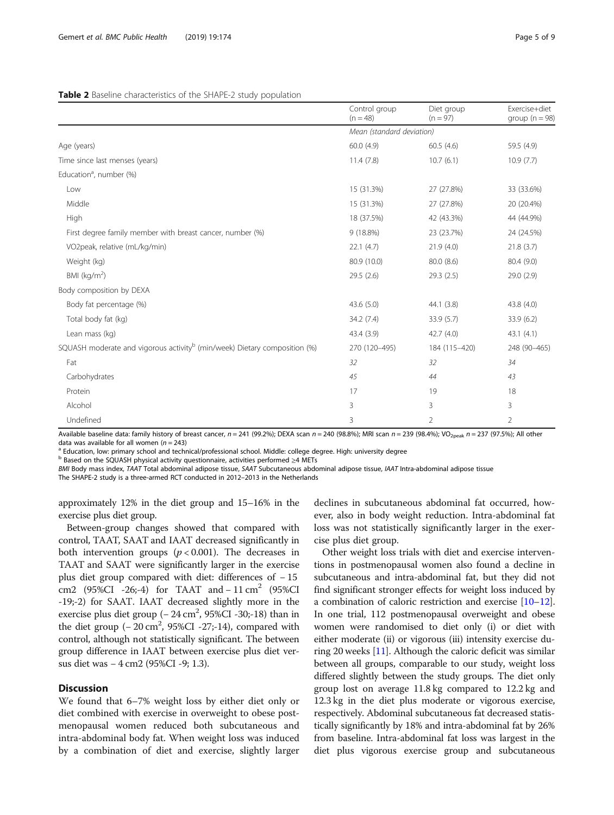#### <span id="page-4-0"></span>Table 2 Baseline characteristics of the SHAPE-2 study population

|                                                                                       | Control group<br>$(n = 48)$ | Diet group<br>$(n = 97)$ | Exercise+diet<br>group ( $n = 98$ ) |
|---------------------------------------------------------------------------------------|-----------------------------|--------------------------|-------------------------------------|
|                                                                                       | Mean (standard deviation)   |                          |                                     |
| Age (years)                                                                           | 60.0 (4.9)                  | 60.5(4.6)                | 59.5 (4.9)                          |
| Time since last menses (years)                                                        | 11.4(7.8)                   | 10.7(6.1)                | 10.9(7.7)                           |
| Education <sup>a</sup> , number (%)                                                   |                             |                          |                                     |
| Low                                                                                   | 15 (31.3%)                  | 27 (27.8%)               | 33 (33.6%)                          |
| Middle                                                                                | 15 (31.3%)                  | 27 (27.8%)               | 20 (20.4%)                          |
| High                                                                                  | 18 (37.5%)                  | 42 (43.3%)               | 44 (44.9%)                          |
| First degree family member with breast cancer, number (%)                             | 9 (18.8%)                   | 23 (23.7%)               | 24 (24.5%)                          |
| VO2peak, relative (mL/kg/min)                                                         | 22.1(4.7)                   | 21.9(4.0)                | 21.8(3.7)                           |
| Weight (kg)                                                                           | 80.9 (10.0)                 | 80.0 (8.6)               | 80.4 (9.0)                          |
| BMI ( $kg/m2$ )                                                                       | 29.5(2.6)                   | 29.3(2.5)                | 29.0 (2.9)                          |
| Body composition by DEXA                                                              |                             |                          |                                     |
| Body fat percentage (%)                                                               | 43.6(5.0)                   | 44.1(3.8)                | 43.8 (4.0)                          |
| Total body fat (kg)                                                                   | 34.2 (7.4)                  | 33.9 (5.7)               | 33.9 (6.2)                          |
| Lean mass (kg)                                                                        | 43.4 (3.9)                  | 42.7 (4.0)               | 43.1(4.1)                           |
| SQUASH moderate and vigorous activity <sup>b</sup> (min/week) Dietary composition (%) | 270 (120-495)               | 184 (115-420)            | 248 (90-465)                        |
| Fat                                                                                   | 32                          | 32                       | 34                                  |
| Carbohydrates                                                                         | 45                          | 44                       | 43                                  |
| Protein                                                                               | 17                          | 19                       | 18                                  |
| Alcohol                                                                               | 3                           | 3                        | 3                                   |
| Undefined                                                                             | 3                           | $\overline{2}$           | $\overline{2}$                      |

Available baseline data: family history of breast cancer,  $n = 241$  (99.2%); DEXA scan  $n = 240$  (98.8%); MRI scan  $n = 239$  (98.4%); VO<sub>2peak</sub>  $n = 237$  (97.5%); All other data was available for all women ( $n = 243$ )

<sup>a</sup> Education, low: primary school and technical/professional school. Middle: college degree. High: university degree

<sup>b</sup> Based on the SQUASH physical activity questionnaire, activities performed ≥4 METs

BMI Body mass index, TAAT Total abdominal adipose tissue, SAAT Subcutaneous abdominal adipose tissue, IAAT Intra-abdominal adipose tissue

The SHAPE-2 study is a three-armed RCT conducted in 2012–2013 in the Netherlands

approximately 12% in the diet group and 15–16% in the exercise plus diet group.

Between-group changes showed that compared with control, TAAT, SAAT and IAAT decreased significantly in both intervention groups  $(p < 0.001)$ . The decreases in TAAT and SAAT were significantly larger in the exercise plus diet group compared with diet: differences of − 15 cm2 (95%CI -26;-4) for TAAT and  $-11 \text{ cm}^2$  (95%CI -19;-2) for SAAT. IAAT decreased slightly more in the exercise plus diet group (–  $24 \text{ cm}^2$ , 95%CI -30;-18) than in the diet group  $(-20 \text{ cm}^2, 95\% \text{CI } -27; -14)$ , compared with control, although not statistically significant. The between group difference in IAAT between exercise plus diet versus diet was − 4 cm2 (95%CI -9; 1.3).

#### **Discussion**

We found that 6–7% weight loss by either diet only or diet combined with exercise in overweight to obese postmenopausal women reduced both subcutaneous and intra-abdominal body fat. When weight loss was induced by a combination of diet and exercise, slightly larger

declines in subcutaneous abdominal fat occurred, however, also in body weight reduction. Intra-abdominal fat loss was not statistically significantly larger in the exercise plus diet group.

Other weight loss trials with diet and exercise interventions in postmenopausal women also found a decline in subcutaneous and intra-abdominal fat, but they did not find significant stronger effects for weight loss induced by a combination of caloric restriction and exercise [\[10](#page-7-0)–[12](#page-7-0)]. In one trial, 112 postmenopausal overweight and obese women were randomised to diet only (i) or diet with either moderate (ii) or vigorous (iii) intensity exercise during 20 weeks [[11](#page-7-0)]. Although the caloric deficit was similar between all groups, comparable to our study, weight loss differed slightly between the study groups. The diet only group lost on average 11.8 kg compared to 12.2 kg and 12.3 kg in the diet plus moderate or vigorous exercise, respectively. Abdominal subcutaneous fat decreased statistically significantly by 18% and intra-abdominal fat by 26% from baseline. Intra-abdominal fat loss was largest in the diet plus vigorous exercise group and subcutaneous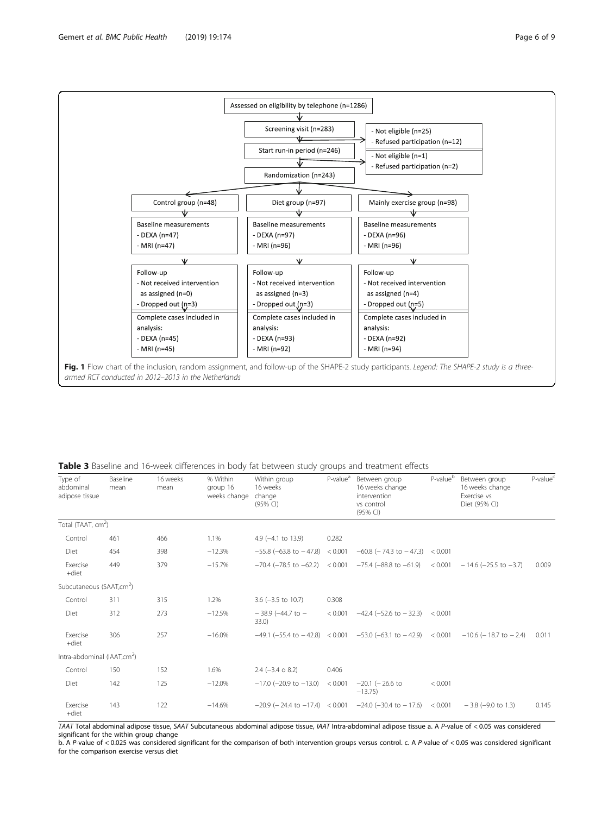<span id="page-5-0"></span>

Table 3 Baseline and 16-week differences in body fat between study groups and treatment effects

| Type of<br>abdominal<br>adipose tissue  | Baseline<br>mean | 16 weeks<br>mean | % Within<br>group 16<br>weeks change | Within group<br>16 weeks<br>change<br>(95% CI) | P-value <sup>a</sup> | Between group<br>16 weeks change<br>intervention<br>vs control<br>$(95%$ CI) | P-value <sup>b</sup> | Between group<br>16 weeks change<br>Exercise vs<br>Diet (95% CI) | P-value <sup>®</sup> |
|-----------------------------------------|------------------|------------------|--------------------------------------|------------------------------------------------|----------------------|------------------------------------------------------------------------------|----------------------|------------------------------------------------------------------|----------------------|
| Total (TAAT, cm <sup>2</sup> )          |                  |                  |                                      |                                                |                      |                                                                              |                      |                                                                  |                      |
| Control                                 | 461              | 466              | 1.1%                                 | 4.9 $(-4.1 \text{ to } 13.9)$                  | 0.282                |                                                                              |                      |                                                                  |                      |
| Diet                                    | 454              | 398              | $-12.3%$                             | $-55.8$ ( $-63.8$ to $-47.8$ )                 | < 0.001              | $-60.8$ ( $-74.3$ to $-47.3$ ) < 0.001                                       |                      |                                                                  |                      |
| Exercise<br>+diet                       | 449              | 379              | $-15.7%$                             | $-70.4$ ( $-78.5$ to $-62.2$ )                 | < 0.001              | $-75.4$ ( $-88.8$ to $-61.9$ ) < 0.001                                       |                      | $-14.6$ (-25.5 to -3.7)                                          | 0.009                |
| Subcutaneous (SAAT,cm <sup>2</sup> )    |                  |                  |                                      |                                                |                      |                                                                              |                      |                                                                  |                      |
| Control                                 | 311              | 315              | 1.2%                                 | $3.6$ ( $-3.5$ to 10.7)                        | 0.308                |                                                                              |                      |                                                                  |                      |
| Diet                                    | 312              | 273              | $-12.5%$                             | $-38.9$ (-44.7 to -<br>33.0                    | < 0.001              | $-42.4$ ( $-52.6$ to $-32.3$ )                                               | < 0.001              |                                                                  |                      |
| Exercise<br>+diet                       | 306              | 257              | $-16.0%$                             |                                                |                      | $-49.1$ (-55.4 to $-42.8$ ) $< 0.001$ -53.0 (-63.1 to $-42.9$ ) $< 0.001$    |                      | $-10.6$ ( $-18.7$ to $-2.4$ )                                    | 0.011                |
| Intra-abdominal (IAAT,cm <sup>2</sup> ) |                  |                  |                                      |                                                |                      |                                                                              |                      |                                                                  |                      |
| Control                                 | 150              | 152              | 1.6%                                 | $2.4 (-3.4 \circ 8.2)$                         | 0.406                |                                                                              |                      |                                                                  |                      |
| Diet                                    | 142              | 125              | $-12.0%$                             | $-17.0$ (-20.9 to $-13.0$ )                    | < 0.001              | $-20.1$ ( $-26.6$ to<br>$-13.75$                                             | < 0.001              |                                                                  |                      |
| Exercise<br>+diet                       | 143              | 122              | $-14.6%$                             | $-20.9$ ( $-24.4$ to $-17.4$ ) $< 0.001$       |                      | $-24.0$ ( $-30.4$ to $-17.6$ )                                               | < 0.001              | $-3.8$ (-9.0 to 1.3)                                             | 0.145                |

TAAT Total abdominal adipose tissue, SAAT Subcutaneous abdominal adipose tissue, IAAT Intra-abdominal adipose tissue a. A P-value of < 0.05 was considered significant for the within group change

b. A P-value of < 0.025 was considered significant for the comparison of both intervention groups versus control. c. A P-value of < 0.05 was considered significant for the comparison exercise versus diet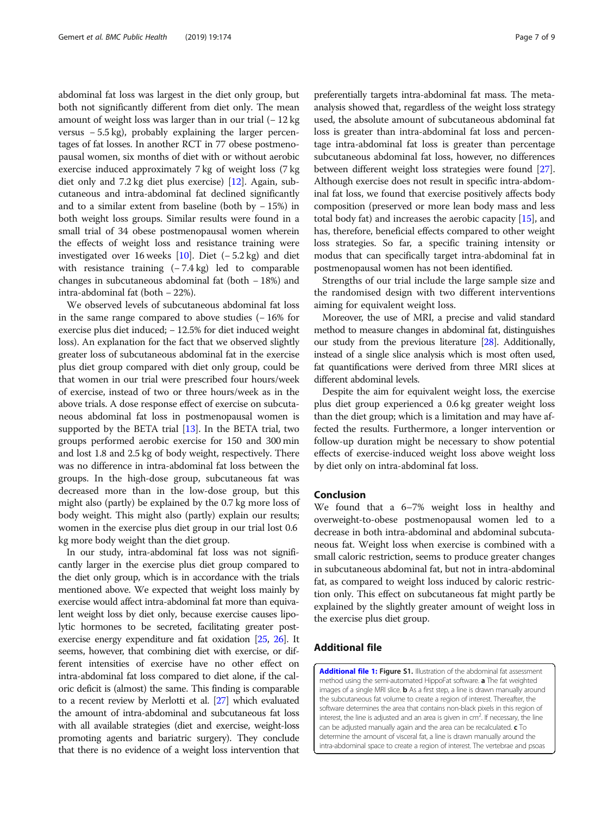<span id="page-6-0"></span>abdominal fat loss was largest in the diet only group, but both not significantly different from diet only. The mean amount of weight loss was larger than in our trial (− 12 kg versus − 5.5 kg), probably explaining the larger percentages of fat losses. In another RCT in 77 obese postmenopausal women, six months of diet with or without aerobic exercise induced approximately 7 kg of weight loss (7 kg diet only and 7.2 kg diet plus exercise) [\[12](#page-7-0)]. Again, subcutaneous and intra-abdominal fat declined significantly and to a similar extent from baseline (both by − 15%) in both weight loss groups. Similar results were found in a small trial of 34 obese postmenopausal women wherein the effects of weight loss and resistance training were investigated over 16 weeks  $[10]$  $[10]$  $[10]$ . Diet  $(-5.2 \text{ kg})$  and diet with resistance training  $(-7.4 \text{ kg})$  led to comparable changes in subcutaneous abdominal fat (both − 18%) and intra-abdominal fat (both − 22%).

We observed levels of subcutaneous abdominal fat loss in the same range compared to above studies (− 16% for exercise plus diet induced; − 12.5% for diet induced weight loss). An explanation for the fact that we observed slightly greater loss of subcutaneous abdominal fat in the exercise plus diet group compared with diet only group, could be that women in our trial were prescribed four hours/week of exercise, instead of two or three hours/week as in the above trials. A dose response effect of exercise on subcutaneous abdominal fat loss in postmenopausal women is supported by the BETA trial  $[13]$  $[13]$  $[13]$ . In the BETA trial, two groups performed aerobic exercise for 150 and 300 min and lost 1.8 and 2.5 kg of body weight, respectively. There was no difference in intra-abdominal fat loss between the groups. In the high-dose group, subcutaneous fat was decreased more than in the low-dose group, but this might also (partly) be explained by the 0.7 kg more loss of body weight. This might also (partly) explain our results; women in the exercise plus diet group in our trial lost 0.6 kg more body weight than the diet group.

In our study, intra-abdominal fat loss was not significantly larger in the exercise plus diet group compared to the diet only group, which is in accordance with the trials mentioned above. We expected that weight loss mainly by exercise would affect intra-abdominal fat more than equivalent weight loss by diet only, because exercise causes lipolytic hormones to be secreted, facilitating greater postexercise energy expenditure and fat oxidation [\[25](#page-8-0), [26\]](#page-8-0). It seems, however, that combining diet with exercise, or different intensities of exercise have no other effect on intra-abdominal fat loss compared to diet alone, if the caloric deficit is (almost) the same. This finding is comparable to a recent review by Merlotti et al. [\[27](#page-8-0)] which evaluated the amount of intra-abdominal and subcutaneous fat loss with all available strategies (diet and exercise, weight-loss promoting agents and bariatric surgery). They conclude that there is no evidence of a weight loss intervention that preferentially targets intra-abdominal fat mass. The metaanalysis showed that, regardless of the weight loss strategy used, the absolute amount of subcutaneous abdominal fat loss is greater than intra-abdominal fat loss and percentage intra-abdominal fat loss is greater than percentage subcutaneous abdominal fat loss, however, no differences between different weight loss strategies were found [[27](#page-8-0)]. Although exercise does not result in specific intra-abdominal fat loss, we found that exercise positively affects body composition (preserved or more lean body mass and less total body fat) and increases the aerobic capacity [\[15\]](#page-7-0), and has, therefore, beneficial effects compared to other weight loss strategies. So far, a specific training intensity or modus that can specifically target intra-abdominal fat in postmenopausal women has not been identified.

Strengths of our trial include the large sample size and the randomised design with two different interventions aiming for equivalent weight loss.

Moreover, the use of MRI, a precise and valid standard method to measure changes in abdominal fat, distinguishes our study from the previous literature [[28](#page-8-0)]. Additionally, instead of a single slice analysis which is most often used, fat quantifications were derived from three MRI slices at different abdominal levels.

Despite the aim for equivalent weight loss, the exercise plus diet group experienced a 0.6 kg greater weight loss than the diet group; which is a limitation and may have affected the results. Furthermore, a longer intervention or follow-up duration might be necessary to show potential effects of exercise-induced weight loss above weight loss by diet only on intra-abdominal fat loss.

#### Conclusion

We found that a 6–7% weight loss in healthy and overweight-to-obese postmenopausal women led to a decrease in both intra-abdominal and abdominal subcutaneous fat. Weight loss when exercise is combined with a small caloric restriction, seems to produce greater changes in subcutaneous abdominal fat, but not in intra-abdominal fat, as compared to weight loss induced by caloric restriction only. This effect on subcutaneous fat might partly be explained by the slightly greater amount of weight loss in the exercise plus diet group.

#### Additional file

[Additional file 1:](https://doi.org/10.1186/s12889-019-6510-1) Figure S1. Illustration of the abdominal fat assessment method using the semi-automated HippoFat software. a The fat weighted images of a single MRI slice. **b** As a first step, a line is drawn manually around the subcutaneous fat volume to create a region of interest. Thereafter, the software determines the area that contains non-black pixels in this region of interest, the line is adjusted and an area is given in  $cm<sup>2</sup>$ . If necessary, the line can be adjusted manually again and the area can be recalculated.  $c$  To determine the amount of visceral fat, a line is drawn manually around the intra-abdominal space to create a region of interest. The vertebrae and psoas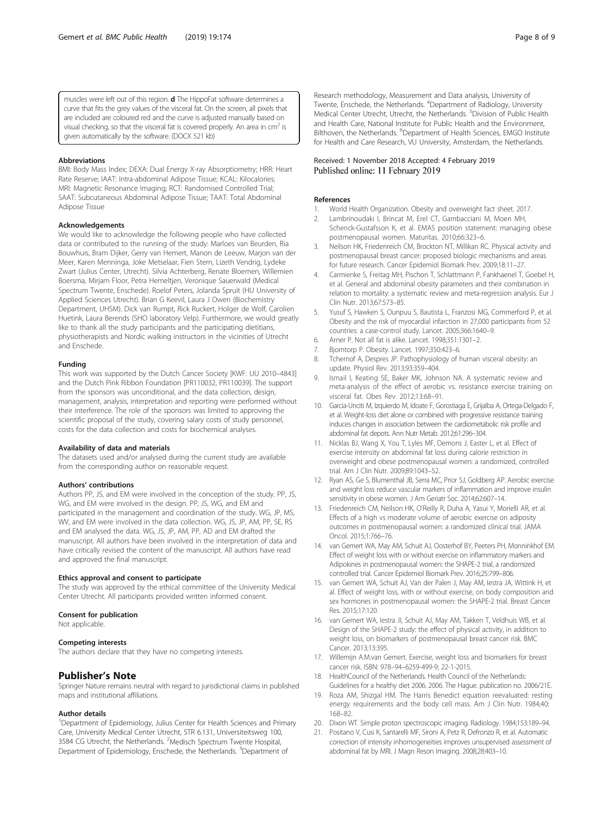<span id="page-7-0"></span>muscles were left out of this region. **d** The HippoFat software determines a curve that fits the grey values of the visceral fat. On the screen, all pixels that are included are coloured red and the curve is adjusted manually based on visual checking, so that the visceral fat is covered properly. An area in  $cm<sup>2</sup>$  is given automatically by the software. (DOCX 521 kb)

#### Abbreviations

BMI: Body Mass Index; DEXA: Dual Energy X-ray Absorptiometry; HRR: Heart Rate Reserve; IAAT: Intra-abdominal Adipose Tissue; KCAL: Kilocalories; MRI: Magnetic Resonance Imaging; RCT: Randomised Controlled Trial; SAAT: Subcutaneous Abdominal Adipose Tissue; TAAT: Total Abdominal Adipose Tissue

#### Acknowledgements

We would like to acknowledge the following people who have collected data or contributed to the running of the study: Marloes van Beurden, Ria Bouwhuis, Bram Dijker, Gerry van Hemert, Manon de Leeuw, Marjon van der Meer, Karen Menninga, Joke Metselaar, Fien Stern, Lizeth Vendrig, Lydeke Zwart (Julius Center, Utrecht). Silvia Achterberg, Renate Bloemen, Willemien Boersma, Mirjam Floor, Petra Hemeltjen, Veronique Sauerwald (Medical Spectrum Twente, Enschede). Roelof Peters, Jolanda Spruit (HU University of Applied Sciences Utrecht). Brian G Keevil, Laura J Owen (Biochemistry Department, UHSM). Dick van Rumpt, Rick Ruckert, Holger de Wolf, Carolien Huetink, Laura Berends (SHO laboratory Velp). Furthermore, we would greatly like to thank all the study participants and the participating dietitians, physiotherapists and Nordic walking instructors in the vicinities of Utrecht and Enschede.

#### Funding

This work was supported by the Dutch Cancer Society [KWF: UU 2010–4843] and the Dutch Pink Ribbon Foundation [PR110032, PR110039]. The support from the sponsors was unconditional, and the data collection, design, management, analysis, interpretation and reporting were performed without their interference. The role of the sponsors was limited to approving the scientific proposal of the study, covering salary costs of study personnel, costs for the data collection and costs for biochemical analyses.

#### Availability of data and materials

The datasets used and/or analysed during the current study are available from the corresponding author on reasonable request.

#### Authors' contributions

Authors PP, JS, and EM were involved in the conception of the study. PP, JS, WG, and EM were involved in the design. PP, JS, WG, and EM and participated in the management and coordination of the study. WG, JP, MS, WV, and EM were involved in the data collection. WG, JS, JP, AM, PP, SE, RS and EM analysed the data. WG, JS, JP, AM, PP, AD and EM drafted the manuscript. All authors have been involved in the interpretation of data and have critically revised the content of the manuscript. All authors have read and approved the final manuscript.

#### Ethics approval and consent to participate

The study was approved by the ethical committee of the University Medical Center Utrecht. All participants provided written informed consent.

#### Consent for publication

Not applicable.

Competing interests The authors declare that they have no competing interests.

#### Publisher's Note

Springer Nature remains neutral with regard to jurisdictional claims in published maps and institutional affiliations.

#### Author details

<sup>1</sup>Department of Epidemiology, Julius Center for Health Sciences and Primary Care, University Medical Center Utrecht, STR 6.131, Universiteitsweg 100, 3584 CG Utrecht, the Netherlands. <sup>2</sup>Medisch Spectrum Twente Hospital, Department of Epidemiology, Enschede, the Netherlands. <sup>3</sup>Department of

#### Received: 1 November 2018 Accepted: 4 February 2019 Published online: 11 February 2019

#### References

- 1. World Health Organization. Obesity and overweight fact sheet. 2017.
- 2. Lambrinoudaki J, Brincat M, Frel CT, Gambacciani M, Moen MH, Schenck-Gustafsson K, et al. EMAS position statement: managing obese postmenopausal women. Maturitas. 2010;66:323–6.
- 3. Neilson HK, Friedenreich CM, Brockton NT, Millikan RC. Physical activity and postmenopausal breast cancer: proposed biologic mechanisms and areas for future research. Cancer Epidemiol Biomark Prev. 2009;18:11–27.
- 4. Carmienke S, Freitag MH, Pischon T, Schlattmann P, Fankhaenel T, Goebel H, et al. General and abdominal obesity parameters and their combination in relation to mortality: a systematic review and meta-regression analysis. Eur J Clin Nutr. 2013;67:573–85.
- 5. Yusuf S, Hawken S, Ounpuu S, Bautista L, Franzosi MG, Commerford P, et al. Obesity and the risk of myocardial infarction in 27,000 participants from 52 countries: a case-control study. Lancet. 2005;366:1640–9.
- 6. Arner P. Not all fat is alike. Lancet. 1998;351:1301–2.
- 7. Bjorntorp P. Obesity. Lancet. 1997;350:423–6.
- 8. Tchernof A, Despres JP. Pathophysiology of human visceral obesity: an update. Physiol Rev. 2013;93:359–404.
- 9. Ismail I, Keating SE, Baker MK, Johnson NA. A systematic review and meta-analysis of the effect of aerobic vs. resistance exercise training on visceral fat. Obes Rev. 2012;13:68–91.
- 10. Garcia-Unciti M, Izquierdo M, Idoate F, Gorostiaga E, Grijalba A, Ortega-Delgado F, et al. Weight-loss diet alone or combined with progressive resistance training induces changes in association between the cardiometabolic risk profile and abdominal fat depots. Ann Nutr Metab. 2012;61:296–304.
- 11. Nicklas BJ, Wang X, You T, Lyles MF, Demons J, Easter L, et al. Effect of exercise intensity on abdominal fat loss during calorie restriction in overweight and obese postmenopausal women: a randomized, controlled trial. Am J Clin Nutr. 2009;89:1043–52.
- 12. Ryan AS, Ge S, Blumenthal JB, Serra MC, Prior SJ, Goldberg AP. Aerobic exercise and weight loss reduce vascular markers of inflammation and improve insulin sensitivity in obese women. J Am Geriatr Soc. 2014;62:607–14.
- 13. Friedenreich CM, Neilson HK, O'Reilly R, Duha A, Yasui Y, Morielli AR, et al. Effects of a high vs moderate volume of aerobic exercise on adiposity outcomes in postmenopausal women: a randomized clinical trial. JAMA Oncol. 2015;1:766–76.
- 14. van Gemert WA, May AM, Schuit AJ, Oosterhof BY, Peeters PH, Monninkhof EM. Effect of weight loss with or without exercise on inflammatory markers and Adipokines in postmenopausal women: the SHAPE-2 trial, a randomized controlled trial. Cancer Epidemiol Biomark Prev. 2016;25:799–806.
- 15. van Gemert WA, Schuit AJ, Van der Palen J, May AM, Iestra JA, Wittink H, et al. Effect of weight loss, with or without exercise, on body composition and sex hormones in postmenopausal women: the SHAPE-2 trial. Breast Cancer Res. 2015;17:120.
- 16. van Gemert WA, Iestra JI, Schuit AJ, May AM, Takken T, Veldhuis WB, et al. Design of the SHAPE-2 study: the effect of physical activity, in addition to weight loss, on biomarkers of postmenopausal breast cancer risk. BMC Cancer. 2013;13:395.
- 17. Willemijn A.M.van Gemert. Exercise, weight loss and biomarkers for breast cancer risk. ISBN: 978–94–6259-499-9; 22-1-2015.
- 18. HealthCouncil of the Netherlands. Health Council of the Netherlands: Guidelines for a healthy diet 2006. 2006. The Hague. publication no. 2006/21E.
- 19. Roza AM, Shizgal HM. The Harris Benedict equation reevaluated: resting energy requirements and the body cell mass. Am J Clin Nutr. 1984;40: 168–82.
- 20. Dixon WT. Simple proton spectroscopic imaging. Radiology. 1984;153:189–94.
- 21. Positano V, Cusi K, Santarelli MF, Sironi A, Petz R, Defronzo R, et al. Automatic correction of intensity inhomogeneities improves unsupervised assessment of abdominal fat by MRI. J Magn Reson Imaging. 2008;28:403–10.